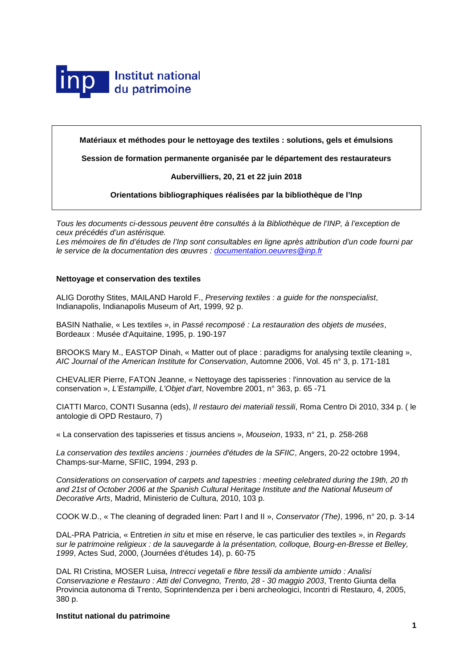

**Matériaux et méthodes pour le nettoyage des textiles : solutions, gels et émulsions**

**Session de formation permanente organisée par le département des restaurateurs** 

# **Aubervilliers, 20, 21 et 22 juin 2018**

**Orientations bibliographiques réalisées par la bibliothèque de l'Inp**

*Tous les documents ci-dessous peuvent être consultés à la Bibliothèque de l'INP, à l'exception de ceux précédés d'un astérisque.*

*Les mémoires de fin d'études de l'Inp sont consultables en ligne après attribution d'un code fourni par le service de la documentation des œuvres : [documentation.oeuvres@inp.fr](mailto:documentation.oeuvres@inp.fr)*

## **Nettoyage et conservation des textiles**

ALIG Dorothy Stites, MAILAND Harold F., *Preserving textiles : a guide for the nonspecialist*, Indianapolis, Indianapolis Museum of Art, 1999, 92 p.

BASIN Nathalie, « Les textiles », in *Passé recomposé : La restauration des objets de musées*, Bordeaux : Musée d'Aquitaine, 1995, p. 190-197

BROOKS Mary M., EASTOP Dinah, « Matter out of place : paradigms for analysing textile cleaning », *AIC Journal of the American Institute for Conservation*, Automne 2006, Vol. 45 n° 3, p. 171-181

CHEVALIER Pierre, FATON Jeanne, « Nettoyage des tapisseries : l'innovation au service de la conservation », *L'Estampille, L'Objet d'art*, Novembre 2001, n° 363, p. 65 -71

CIATTI Marco, CONTI Susanna (eds), *Il restauro dei materiali tessili*, Roma Centro Di 2010, 334 p. ( le antologie di OPD Restauro, 7)

« La conservation des tapisseries et tissus anciens », *Mouseion*, 1933, n° 21, p. 258-268

*La conservation des textiles anciens : journées d'études de la SFIIC*, Angers, 20-22 octobre 1994, Champs-sur-Marne, SFIIC, 1994, 293 p.

*Considerations on conservation of carpets and tapestries : meeting celebrated during the 19th, 20 th and 21st of October 2006 at the Spanish Cultural Heritage Institute and the National Museum of Decorative Arts*, Madrid, Ministerio de Cultura, 2010, 103 p.

COOK W.D., « The cleaning of degraded linen: Part I and II », *Conservator (The)*, 1996, n° 20, p. 3-14

DAL-PRA Patricia, « Entretien *in situ* et mise en réserve, le cas particulier des textiles », in *Regards sur le patrimoine religieux : de la sauvegarde à la présentation, colloque, Bourg-en-Bresse et Belley, 1999*, Actes Sud, 2000, (Journées d'études 14), p. 60-75

DAL RI Cristina, MOSER Luisa, *Intrecci vegetali e fibre tessili da ambiente umido : Analisi Conservazione e Restauro : Atti del Convegno, Trento, 28 - 30 maggio 2003*, Trento Giunta della Provincia autonoma di Trento, Soprintendenza per i beni archeologici, Incontri di Restauro, 4, 2005, 380 p.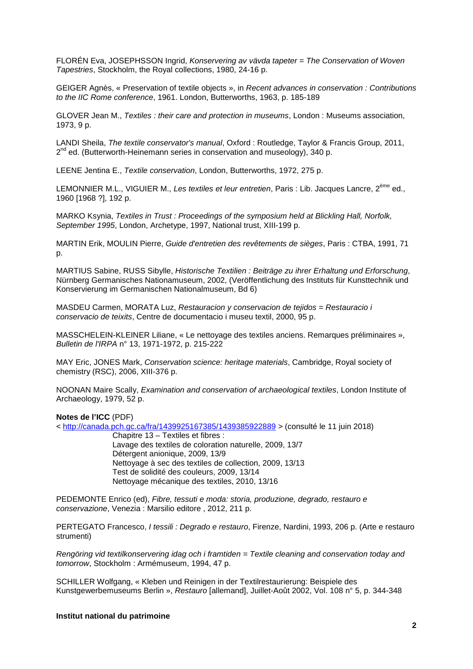FLORÉN Eva, JOSEPHSSON Ingrid, *Konservering av vävda tapeter* = *The Conservation of Woven Tapestries*, Stockholm, the Royal collections, 1980, 24-16 p.

GEIGER Agnès, « Preservation of textile objects », in *Recent advances in conservation : Contributions to the IIC Rome conference*, 1961. London, Butterworths, 1963, p. 185-189

GLOVER Jean M., *Textiles : their care and protection in museums*, London : Museums association, 1973, 9 p.

LANDI Sheila, *The textile conservator's manual*, Oxford : Routledge, Taylor & Francis Group, 2011,  $2^{nd}$  ed. (Butterworth-Heinemann series in conservation and museology), 340 p.

LEENE Jentina E., *Textile conservation*, London, Butterworths, 1972, 275 p.

LEMONNIER M.L., VIGUIER M., *Les textiles et leur entretien*, Paris : Lib. Jacques Lancre, 2ème ed., 1960 [1968 ?], 192 p.

MARKO Ksynia, *Textiles in Trust : Proceedings of the symposium held at Blickling Hall, Norfolk, September 1995*, London, Archetype, 1997, National trust, XIII-199 p.

MARTIN Erik, MOULIN Pierre, *Guide d'entretien des revêtements de sièges*, Paris : CTBA, 1991, 71 p.

MARTIUS Sabine, RUSS Sibylle, *Historische Textilien : Beiträge zu ihrer Erhaltung und Erforschung*, Nürnberg Germanisches Nationamuseum, 2002, (Veröffentlichung des Instituts für Kunsttechnik und Konservierung im Germanischen Nationalmuseum, Bd 6)

MASDEU Carmen, MORATA Luz, *Restauracion y conservacion de tejidos* = *Restauracio i conservacio de teixits*, Centre de documentacio i museu textil, 2000, 95 p.

MASSCHELEIN-KLEINER Liliane, « Le nettoyage des textiles anciens. Remarques préliminaires », *Bulletin de l'IRPA* n° 13, 1971-1972, p. 215-222

MAY Eric, JONES Mark, *Conservation science: heritage materials*, Cambridge, Royal society of chemistry (RSC), 2006, XIII-376 p.

NOONAN Maire Scally, *Examination and conservation of archaeological textiles*, London Institute of Archaeology, 1979, 52 p.

### **Notes de l'ICC** (PDF)

<<http://canada.pch.gc.ca/fra/1439925167385/1439385922889> > (consulté le 11 juin 2018)

Chapitre 13 – Textiles et fibres : Lavage des textiles de coloration naturelle, 2009, 13/7 Détergent anionique, 2009, 13/9 Nettoyage à sec des textiles de collection, 2009, 13/13 Test de solidité des couleurs, 2009, 13/14 Nettoyage mécanique des textiles, 2010, 13/16

PEDEMONTE Enrico (ed), *Fibre, tessuti e moda: storia, produzione, degrado, restauro e conservazione*, Venezia : Marsilio editore , 2012, 211 p.

PERTEGATO Francesco, *I tessili : Degrado e restauro*, Firenze, Nardini, 1993, 206 p. (Arte e restauro strumenti)

*Rengöring vid textilkonservering idag och i framtiden = Textile cleaning and conservation today and tomorrow*, Stockholm : Armémuseum, 1994, 47 p.

SCHILLER Wolfgang, « Kleben und Reinigen in der Textilrestaurierung: Beispiele des Kunstgewerbemuseums Berlin », *Restauro* [allemand], Juillet-Août 2002, Vol. 108 n° 5, p. 344-348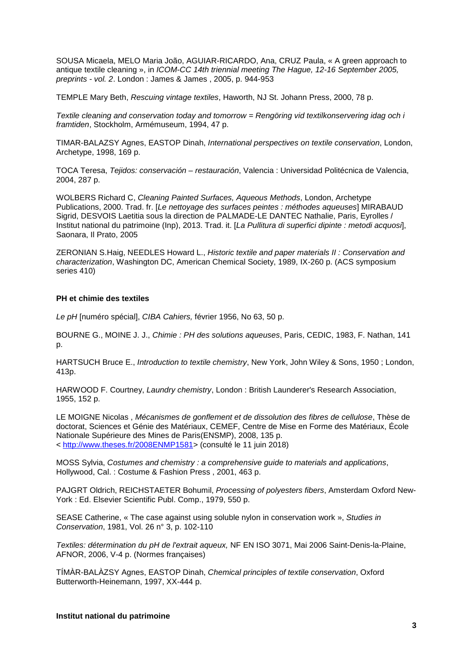SOUSA Micaela, MELO Maria João, AGUIAR-RICARDO, Ana, CRUZ Paula, « A green approach to antique textile cleaning », in *ICOM-CC 14th triennial meeting The Hague, 12-16 September 2005, preprints - vol. 2*. London : James & James , 2005, p. 944-953

TEMPLE Mary Beth, *Rescuing vintage textiles*, Haworth, NJ St. Johann Press, 2000, 78 p.

*Textile cleaning and conservation today and tomorrow = Rengöring vid textilkonservering idag och i framtiden*, Stockholm, Armémuseum, 1994, 47 p.

TIMAR-BALAZSY Agnes, EASTOP Dinah, *International perspectives on textile conservation*, London, Archetype, 1998, 169 p.

TOCA Teresa, *Tejidos: conservación – restauración*, Valencia : Universidad Politécnica de Valencia, 2004, 287 p.

WOLBERS Richard C, *Cleaning Painted Surfaces, Aqueous Methods*, London, Archetype Publications, 2000. Trad. fr. [*Le nettoyage des surfaces peintes : méthodes aqueuses*] MIRABAUD Sigrid, DESVOIS Laetitia sous la direction de PALMADE-LE DANTEC Nathalie, Paris, Eyrolles / Institut national du patrimoine (Inp), 2013. Trad. it. [*La Pullitura di superfici dipinte : metodi acquosi*], Saonara, Il Prato, 2005

ZERONIAN S.Haig, NEEDLES Howard L., *Historic textile and paper materials II : Conservation and characterization*, Washington DC, American Chemical Society, 1989, IX-260 p. (ACS symposium series 410)

## **PH et chimie des textiles**

*Le pH* [numéro spécial], *CIBA Cahiers,* février 1956, No 63, 50 p.

BOURNE G., MOINE J. J., *Chimie : PH des solutions aqueuses*, Paris, CEDIC, 1983, F. Nathan, 141 p.

HARTSUCH Bruce E., *Introduction to textile chemistry*, New York, John Wiley & Sons, 1950 ; London, 413p.

HARWOOD F. Courtney, *Laundry chemistry*, London : British Launderer's Research Association, 1955, 152 p.

LE MOIGNE Nicolas , *Mécanismes de gonflement et de dissolution des fibres de cellulose*, Thèse de doctorat, Sciences et Génie des Matériaux, CEMEF, Centre de Mise en Forme des Matériaux, École Nationale Supérieure des Mines de Paris(ENSMP), 2008, 135 p. < [http://www.theses.fr/2008ENMP1581>](http://www.theses.fr/2008ENMP1581) (consulté le 11 juin 2018)

MOSS Sylvia, *Costumes and chemistry : a comprehensive guide to materials and applications*, Hollywood, Cal. : Costume & Fashion Press , 2001, 463 p.

PAJGRT Oldrich, REICHSTAETER Bohumil, *Processing of polyesters fibers*, Amsterdam Oxford New-York : Ed. Elsevier Scientific Publ. Comp., 1979, 550 p.

SEASE Catherine, « The case against using soluble nylon in conservation work », *Studies in Conservation*, 1981, Vol. 26 n° 3, p. 102-110

*Textiles: détermination du pH de l'extrait aqueux,* NF EN ISO 3071, Mai 2006 Saint-Denis-la-Plaine, AFNOR, 2006, V-4 p. (Normes françaises)

TÍMÀR-BALÀZSY Agnes, EASTOP Dinah, *Chemical principles of textile conservation*, Oxford Butterworth-Heinemann, 1997, XX-444 p.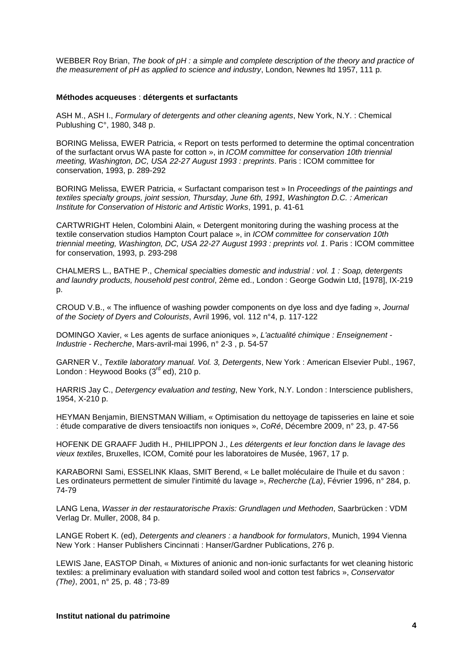WEBBER Roy Brian, *The book of pH : a simple and complete description of the theory and practice of the measurement of pH as applied to science and industry*, London, Newnes ltd 1957, 111 p.

#### **Méthodes acqueuses** : **détergents et surfactants**

ASH M., ASH I., *Formulary of detergents and other cleaning agents*, New York, N.Y. : Chemical Publushing C°, 1980, 348 p.

BORING Melissa, EWER Patricia, « Report on tests performed to determine the optimal concentration of the surfactant orvus WA paste for cotton », in *ICOM committee for conservation 10th triennial meeting, Washington, DC, USA 22-27 August 1993 : preprints*. Paris : ICOM committee for conservation, 1993, p. 289-292

BORING Melissa, EWER Patricia, « Surfactant comparison test » In *Proceedings of the paintings and textiles specialty groups, joint session, Thursday, June 6th, 1991, Washington D.C. : American Institute for Conservation of Historic and Artistic Works*, 1991, p. 41-61

CARTWRIGHT Helen, Colombini Alain, « Detergent monitoring during the washing process at the textile conservation studios Hampton Court palace », in *ICOM committee for conservation 10th triennial meeting, Washington, DC, USA 22-27 August 1993 : preprints vol. 1*. Paris : ICOM committee for conservation, 1993, p. 293-298

CHALMERS L., BATHE P., *Chemical specialties domestic and industrial : vol. 1 : Soap, detergents and laundry products, household pest control*, 2ème ed., London : George Godwin Ltd, [1978], IX-219 p.

CROUD V.B., « The influence of washing powder components on dye loss and dye fading », *Journal of the Society of Dyers and Colourists*, Avril 1996, vol. 112 n°4, p. 117-122

DOMINGO Xavier, « Les agents de surface anioniques », *L'actualité chimique : Enseignement - Industrie - Recherche*, Mars-avril-mai 1996, n° 2-3 , p. 54-57

GARNER V., *Textile laboratory manual. Vol. 3, Detergents*, New York : American Elsevier Publ., 1967, London : Heywood Books (3<sup>rd ed</sup>), 210 p.

HARRIS Jay C., *Detergency evaluation and testing*, New York, N.Y. London : Interscience publishers, 1954, X-210 p.

HEYMAN Benjamin, BIENSTMAN William, « Optimisation du nettoyage de tapisseries en laine et soie : étude comparative de divers tensioactifs non ioniques », *CoRé*, Décembre 2009, n° 23, p. 47-56

HOFENK DE GRAAFF Judith H., PHILIPPON J., *Les détergents et leur fonction dans le lavage des vieux textiles*, Bruxelles, ICOM, Comité pour les laboratoires de Musée, 1967, 17 p.

KARABORNI Sami, ESSELINK Klaas, SMIT Berend, « Le ballet moléculaire de l'huile et du savon : Les ordinateurs permettent de simuler l'intimité du lavage », *Recherche (La)*, Février 1996, n° 284, p. 74-79

LANG Lena, *Wasser in der restauratorische Praxis: Grundlagen und Methoden*, Saarbrücken : VDM Verlag Dr. Muller, 2008, 84 p.

LANGE Robert K. (ed), *Detergents and cleaners : a handbook for formulators*, Munich, 1994 Vienna New York : Hanser Publishers Cincinnati : Hanser/Gardner Publications, 276 p.

LEWIS Jane, EASTOP Dinah, « Mixtures of anionic and non-ionic surfactants for wet cleaning historic textiles: a preliminary evaluation with standard soiled wool and cotton test fabrics », *Conservator (The)*, 2001, n° 25, p. 48 ; 73-89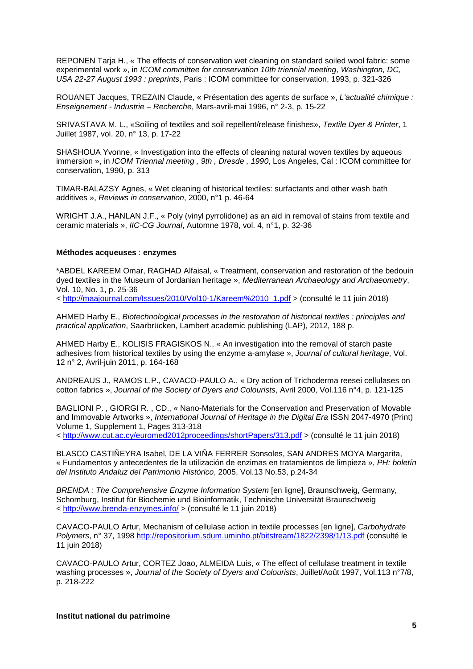REPONEN Tarja H., « The effects of conservation wet cleaning on standard soiled wool fabric: some experimental work », in *ICOM committee for conservation 10th triennial meeting, Washington, DC, USA 22-27 August 1993 : preprints*, Paris : ICOM committee for conservation, 1993, p. 321-326

ROUANET Jacques, TREZAIN Claude, « Présentation des agents de surface », *L'actualité chimique : Enseignement - Industrie – Recherche*, Mars-avril-mai 1996, n° 2-3, p. 15-22

SRIVASTAVA M. L., «Soiling of textiles and soil repellent/release finishes», *Textile Dyer & Printer*, 1 Juillet 1987, vol. 20, n° 13, p. 17-22

SHASHOUA Yvonne, « Investigation into the effects of cleaning natural woven textiles by aqueous immersion », in *ICOM Triennal meeting , 9th , Dresde , 1990*, Los Angeles, Cal : ICOM committee for conservation, 1990, p. 313

TIMAR-BALAZSY Agnes, « Wet cleaning of historical textiles: surfactants and other wash bath additives », *Reviews in conservation*, 2000, n°1 p. 46-64

WRIGHT J.A., HANLAN J.F., « Poly (vinyl pyrrolidone) as an aid in removal of stains from textile and ceramic materials », *IIC-CG Journal*, Automne 1978, vol. 4, n°1, p. 32-36

### **Méthodes acqueuses** : **enzymes**

\*ABDEL KAREEM Omar, RAGHAD Alfaisal, « Treatment, conservation and restoration of the bedouin dyed textiles in the Museum of Jordanian heritage », *Mediterranean Archaeology and Archaeometry*, Vol. 10, No. 1, p. 25-36

< [http://maajournal.com/Issues/2010/Vol10-1/Kareem%2010\\_1.pdf](http://maajournal.com/Issues/2010/Vol10-1/Kareem%2010_1.pdf) > (consulté le 11 juin 2018)

AHMED Harby E., *Biotechnological processes in the restoration of historical textiles : principles and practical application*, Saarbrücken, Lambert academic publishing (LAP), 2012, 188 p.

AHMED Harby E., KOLISIS FRAGISKOS N., « An investigation into the removal of starch paste adhesives from historical textiles by using the enzyme a-amylase », *Journal of cultural heritage*, Vol. 12 n° 2, Avril-juin 2011, p. 164-168

ANDREAUS J., RAMOS L.P., CAVACO-PAULO A., « Dry action of Trichoderma reesei cellulases on cotton fabrics », *Journal of the Society of Dyers and Colourists*, Avril 2000, Vol.116 n°4, p. 121-125

BAGLIONI P. , GIORGI R. , CD., « Nano-Materials for the Conservation and Preservation of Movable and Immovable Artworks », *International Journal of Heritage in the Digital Era* ISSN 2047-4970 (Print) Volume 1, Supplement 1, Pages 313-318

<<http://www.cut.ac.cy/euromed2012proceedings/shortPapers/313.pdf> > (consulté le 11 juin 2018)

BLASCO CASTIÑEYRA Isabel, DE LA VIÑA FERRER Sonsoles, SAN ANDRES MOYA Margarita, « Fundamentos y antecedentes de la utilización de enzimas en tratamientos de limpieza », *PH: boletín del Instituto Andaluz del Patrimonio Histórico*, 2005, Vol.13 No.53, p.24-34

*BRENDA : The Comprehensive Enzyme Information System* [en ligne], Braunschweig, Germany, Schomburg, Institut für Biochemie und Bioinformatik, Technische Universität Braunschweig <<http://www.brenda-enzymes.info/> > (consulté le 11 juin 2018)

CAVACO-PAULO Artur, Mechanism of cellulase action in textile processes [en ligne], *Carbohydrate Polymers*, n° 37, 1998<http://repositorium.sdum.uminho.pt/bitstream/1822/2398/1/13.pdf> (consulté le 11 juin 2018)

CAVACO-PAULO Artur, CORTEZ Joao, ALMEIDA Luis, « The effect of cellulase treatment in textile washing processes », *Journal of the Society of Dyers and Colourists*, Juillet/Août 1997, Vol.113 n°7/8, p. 218-222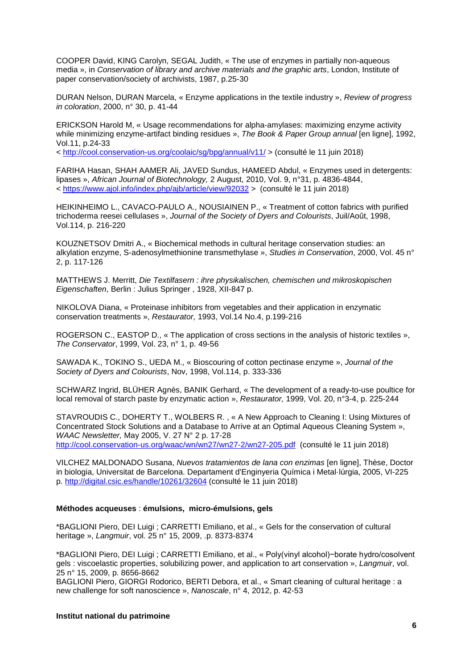COOPER David, KING Carolyn, SEGAL Judith, « The use of enzymes in partially non-aqueous media », in *Conservation of library and archive materials and the graphic arts*, London, Institute of paper conservation/society of archivists, 1987, p.25-30

DURAN Nelson, DURAN Marcela, « Enzyme applications in the textile industry », *Review of progress in coloration*, 2000, n° 30, p. 41-44

ERICKSON Harold M, « Usage recommendations for alpha-amylases: maximizing enzyme activity while minimizing enzyme-artifact binding residues », *The Book & Paper Group annual* [en ligne], 1992, Vol.11, p.24-33

<<http://cool.conservation-us.org/coolaic/sg/bpg/annual/v11/> > (consulté le 11 juin 2018)

FARIHA Hasan, SHAH AAMER Ali, JAVED Sundus, HAMEED Abdul, « Enzymes used in detergents: lipases », *African Journal of Biotechnology,* 2 August, 2010, Vol. 9, n°31, p. 4836-4844, <<https://www.ajol.info/index.php/ajb/article/view/92032> > (consulté le 11 juin 2018)

HEIKINHEIMO L., CAVACO-PAULO A., NOUSIAINEN P., « Treatment of cotton fabrics with purified trichoderma reesei cellulases », *Journal of the Society of Dyers and Colourists*, Juil/Août, 1998, Vol.114, p. 216-220

KOUZNETSOV Dmitri A., « Biochemical methods in cultural heritage conservation studies: an alkylation enzyme, S-adenosylmethionine transmethylase », *Studies in Conservation*, 2000, Vol. 45 n° 2, p. 117-126

MATTHEWS J. Merritt, *Die Textilfasern : ihre physikalischen, chemischen und mikroskopischen Eigenschaften*, Berlin : Julius Springer , 1928, XII-847 p.

NIKOLOVA Diana, « Proteinase inhibitors from vegetables and their application in enzymatic conservation treatments », *Restaurator,* 1993, Vol.14 No.4, p.199-216

ROGERSON C., EASTOP D., « The application of cross sections in the analysis of historic textiles », *The Conservator*, 1999, Vol. 23, n° 1, p. 49-56

SAWADA K., TOKINO S., UEDA M., « Bioscouring of cotton pectinase enzyme », *Journal of the Society of Dyers and Colourists*, Nov, 1998, Vol.114, p. 333-336

SCHWARZ Ingrid, BLÜHER Agnès, BANIK Gerhard, « The development of a ready-to-use poultice for local removal of starch paste by enzymatic action », *Restaurator,* 1999, Vol. 20, n°3-4, p. 225-244

STAVROUDIS C., DOHERTY T., WOLBERS R. , « A New Approach to Cleaning I: Using Mixtures of Concentrated Stock Solutions and a Database to Arrive at an Optimal Aqueous Cleaning System », *WAAC Newsletter,* May 2005, V. 27 N° 2 p. 17-28 <http://cool.conservation-us.org/waac/wn/wn27/wn27-2/wn27-205.pdf>(consulté le 11 juin 2018)

VILCHEZ MALDONADO Susana, *Nuevos tratamientos de lana con enzimas* [en ligne], Thèse, Doctor in biologia, Universitat de Barcelona. Departament d'Enginyeria Química i Metal·lúrgia, 2005, VI-225 p. <http://digital.csic.es/handle/10261/32604> (consulté le 11 juin 2018)

# **Méthodes acqueuses** : **émulsions, micro-émulsions, gels**

\*BAGLIONI Piero, DEI Luigi ; CARRETTI Emiliano, et al., « Gels for the conservation of cultural heritage », *Langmuir*, vol. 25 n° 15, 2009, .p. 8373-8374

\*BAGLIONI Piero, DEI Luigi ; CARRETTI Emiliano, et al., « Poly(vinyl alcohol)−borate hydro/cosolvent gels : viscoelastic properties, solubilizing power, and application to art conservation », *Langmuir*, vol. 25 n° 15, 2009, p. 8656-8662

BAGLIONI Piero, GIORGI Rodorico, BERTI Debora, et al., « Smart cleaning of cultural heritage : a new challenge for soft nanoscience », *Nanoscale*, n° 4, 2012, p. 42-53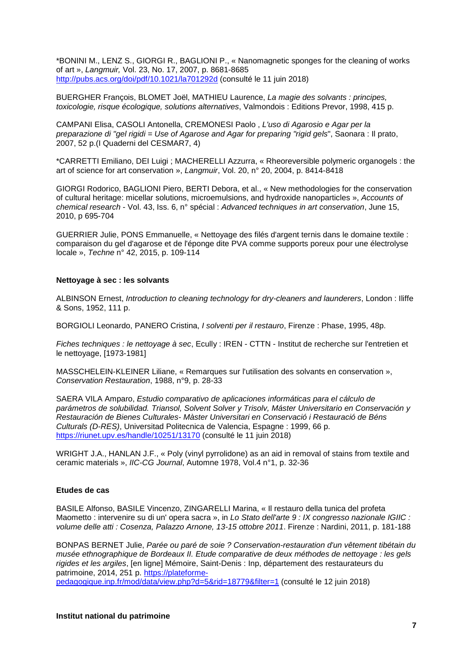\*BONINI M., LENZ S., GIORGI R., BAGLIONI P., « Nanomagnetic sponges for the cleaning of works of art », *Langmuir,* Vol. 23, No. 17, 2007, p. 8681-8685 <http://pubs.acs.org/doi/pdf/10.1021/la701292d> (consulté le 11 juin 2018)

BUERGHER François, BLOMET Joël, MATHIEU Laurence, *La magie des solvants : principes, toxicologie, risque écologique, solutions alternatives*, Valmondois : Editions Prevor, 1998, 415 p.

CAMPANI Elisa, CASOLI Antonella, CREMONESI Paolo , *L'uso di Agarosio e Agar per la preparazione di "gel rigidi = Use of Agarose and Agar for preparing "rigid gels*", Saonara : Il prato, 2007, 52 p.(I Quaderni del CESMAR7, 4)

\*CARRETTI Emiliano, DEI Luigi ; MACHERELLI Azzurra, « Rheoreversible polymeric organogels : the art of science for art conservation », *Langmuir*, Vol. 20, n° 20, 2004, p. 8414-8418

GIORGI Rodorico, BAGLIONI Piero, BERTI Debora, et al., « New methodologies for the conservation of cultural heritage: micellar solutions, microemulsions, and hydroxide nanoparticles », *Accounts of chemical research* - Vol. 43, Iss. 6, n° spécial : *Advanced techniques in art conservation*, June 15, 2010, p 695-704

GUERRIER Julie, PONS Emmanuelle, « Nettoyage des filés d'argent ternis dans le domaine textile : comparaison du gel d'agarose et de l'éponge dite PVA comme supports poreux pour une électrolyse locale », *Techne* n° 42, 2015, p. 109-114

## **Nettoyage à sec : les solvants**

ALBINSON Ernest, *Introduction to cleaning technology for dry-cleaners and launderers*, London : Iliffe & Sons, 1952, 111 p.

BORGIOLI Leonardo, PANERO Cristina, *I solventi per il restauro*, Firenze : Phase, 1995, 48p.

*Fiches techniques : le nettoyage à sec*, Ecully : IREN - CTTN - Institut de recherche sur l'entretien et le nettoyage, [1973-1981]

MASSCHELEIN-KLEINER Liliane, « Remarques sur l'utilisation des solvants en conservation », *Conservation Restauration*, 1988, n°9, p. 28-33

SAERA VILA Amparo, *Estudio comparativo de aplicaciones informáticas para el cálculo de parámetros de solubilidad. Triansol, Solvent Solver y Trisolv, Máster Universitario en Conservación y Restauración de Bienes Culturales- Màster Universitari en Conservació i Restauració de Béns Culturals (D-RES)*, Universitad Politecnica de Valencia, Espagne : 1999, 66 p. <https://riunet.upv.es/handle/10251/13170> (consulté le 11 juin 2018)

WRIGHT J.A., HANLAN J.F., « Poly (vinyl pyrrolidone) as an aid in removal of stains from textile and ceramic materials », *IIC-CG Journal*, Automne 1978, Vol.4 n°1, p. 32-36

## **Etudes de cas**

BASILE Alfonso, BASILE Vincenzo, ZINGARELLI Marina, « Il restauro della tunica del profeta Maometto : intervenire su di un' opera sacra », in *Lo Stato dell'arte 9 : IX congresso nazionale IGIIC : volume delle atti : Cosenza, Palazzo Arnone, 13-15 ottobre 2011*. Firenze : Nardini, 2011, p. 181-188

BONPAS BERNET Julie, *Parée ou paré de soie ? Conservation-restauration d'un vêtement tibétain du musée ethnographique de Bordeaux II. Etude comparative de deux méthodes de nettoyage : les gels rigides et les argiles*, [en ligne] Mémoire, Saint-Denis : Inp, département des restaurateurs du patrimoine, 2014, 251 p. [https://plateforme-](https://plateforme-pedagogique.inp.fr/mod/data/view.php?d=5&rid=18779&filter=1)

[pedagogique.inp.fr/mod/data/view.php?d=5&rid=18779&filter=1](https://plateforme-pedagogique.inp.fr/mod/data/view.php?d=5&rid=18779&filter=1) (consulté le 12 juin 2018)